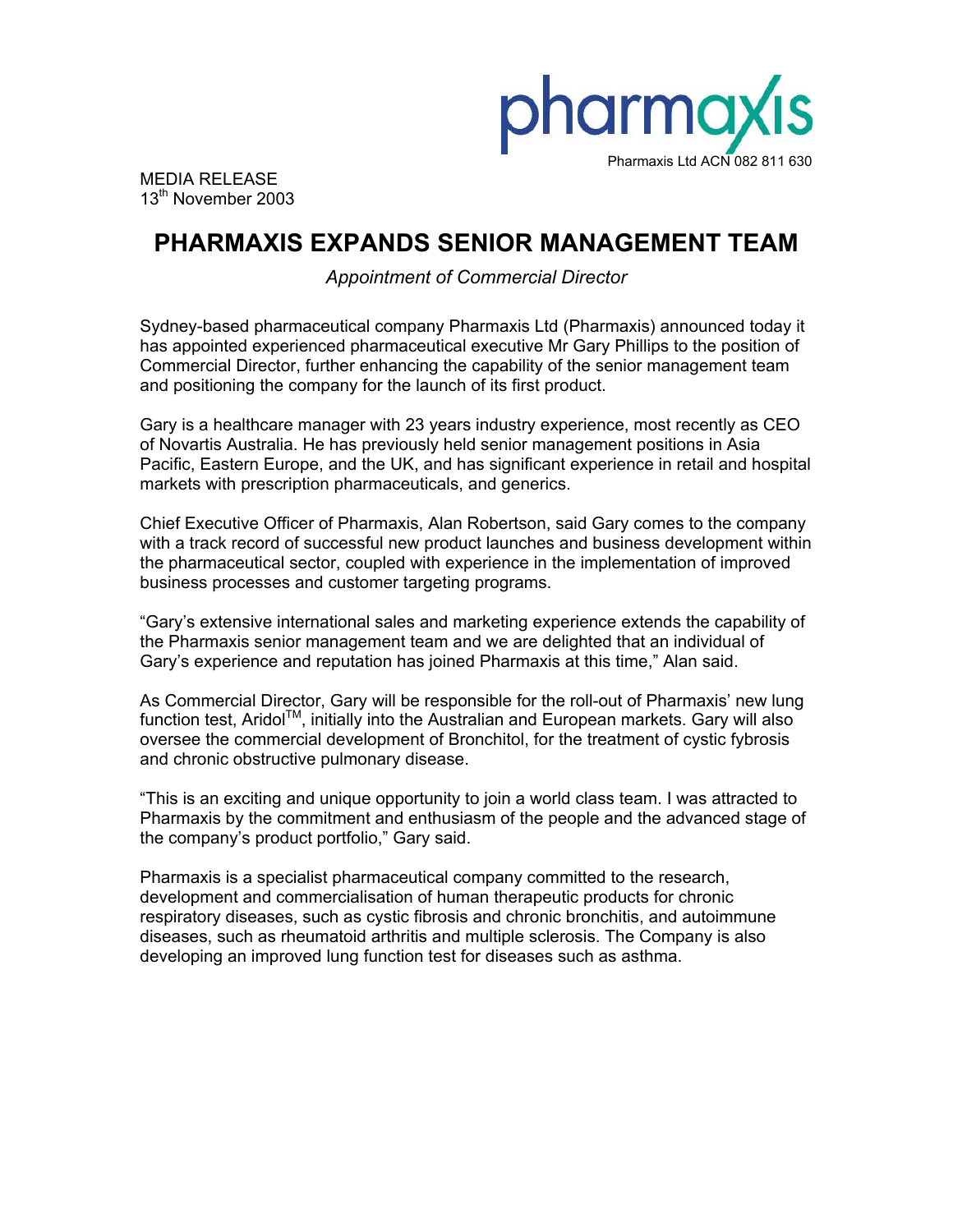

MEDIA RELEASE 13<sup>th</sup> November 2003

# **PHARMAXIS EXPANDS SENIOR MANAGEMENT TEAM**

*Appointment of Commercial Director* 

Sydney-based pharmaceutical company Pharmaxis Ltd (Pharmaxis) announced today it has appointed experienced pharmaceutical executive Mr Gary Phillips to the position of Commercial Director, further enhancing the capability of the senior management team and positioning the company for the launch of its first product.

Gary is a healthcare manager with 23 years industry experience, most recently as CEO of Novartis Australia. He has previously held senior management positions in Asia Pacific, Eastern Europe, and the UK, and has significant experience in retail and hospital markets with prescription pharmaceuticals, and generics.

Chief Executive Officer of Pharmaxis, Alan Robertson, said Gary comes to the company with a track record of successful new product launches and business development within the pharmaceutical sector, coupled with experience in the implementation of improved business processes and customer targeting programs.

"Gary's extensive international sales and marketing experience extends the capability of the Pharmaxis senior management team and we are delighted that an individual of Gary's experience and reputation has joined Pharmaxis at this time," Alan said.

As Commercial Director, Gary will be responsible for the roll-out of Pharmaxis' new lung function test, Aridol<sup>TM</sup>, initially into the Australian and European markets. Gary will also oversee the commercial development of Bronchitol, for the treatment of cystic fybrosis and chronic obstructive pulmonary disease.

"This is an exciting and unique opportunity to join a world class team. I was attracted to Pharmaxis by the commitment and enthusiasm of the people and the advanced stage of the company's product portfolio," Gary said.

Pharmaxis is a specialist pharmaceutical company committed to the research, development and commercialisation of human therapeutic products for chronic respiratory diseases, such as cystic fibrosis and chronic bronchitis, and autoimmune diseases, such as rheumatoid arthritis and multiple sclerosis. The Company is also developing an improved lung function test for diseases such as asthma.